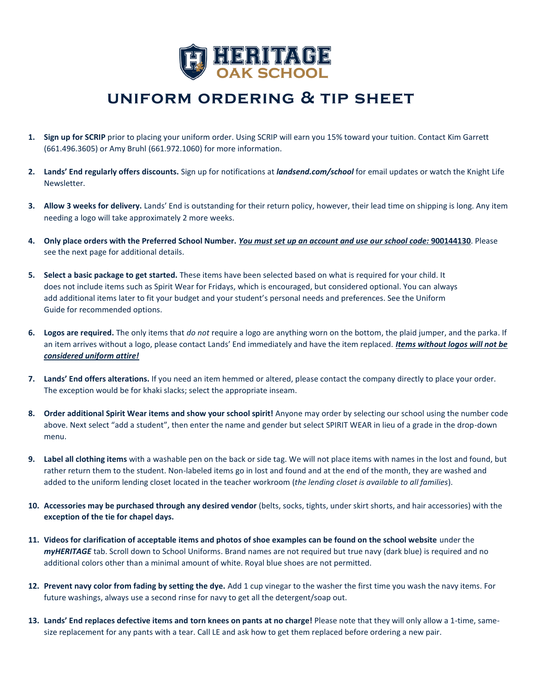

## **uniform ordering & tip sheet**

- **1. Sign up for SCRIP** prior to placing your uniform order. Using SCRIP will earn you 15% toward your tuition. Contact Kim Garrett (661.496.3605) or Amy Bruhl (661.972.1060) for more information.
- **2. Lands' End regularly offers discounts.** Sign up for notifications at *landsend.com/school* for email updates or watch the Knight Life Newsletter.
- **3. Allow 3 weeks for delivery.** Lands' End is outstanding for their return policy, however, their lead time on shipping is long. Any item needing a logo will take approximately 2 more weeks.
- **4. Only place orders with the Preferred School Number.** *You must set up an account and use our school code:* **900144130**. Please see the next page for additional details.
- **5. Select a basic package to get started.** These items have been selected based on what is required for your child. It does not include items such as Spirit Wear for Fridays, which is encouraged, but considered optional. You can always add additional items later to fit your budget and your student's personal needs and preferences. See the Uniform Guide for recommended options.
- **6. Logos are required.** The only items that *do not* require a logo are anything worn on the bottom, the plaid jumper, and the parka. If an item arrives without a logo, please contact Lands' End immediately and have the item replaced. *Items without logos will not be considered uniform attire!*
- **7. Lands' End offers alterations.** If you need an item hemmed or altered, please contact the company directly to place your order. The exception would be for khaki slacks; select the appropriate inseam.
- **8. Order additional Spirit Wear items and show your school spirit!** Anyone may order by selecting our school using the number code above. Next select "add a student", then enter the name and gender but select SPIRIT WEAR in lieu of a grade in the drop-down menu.
- **9. Label all clothing items** with a washable pen on the back or side tag. We will not place items with names in the lost and found, but rather return them to the student. Non-labeled items go in lost and found and at the end of the month, they are washed and added to the uniform lending closet located in the teacher workroom (*the lending closet is available to all families*).
- **10. Accessories may be purchased through any desired vendor** (belts, socks, tights, under skirt shorts, and hair accessories) with the **exception of the tie for chapel days.**
- **11. Videos for clarification of acceptable items and photos of shoe examples can be found on the school website** under the *myHERITAGE* tab. Scroll down to School Uniforms. Brand names are not required but true navy (dark blue) is required and no additional colors other than a minimal amount of white. Royal blue shoes are not permitted.
- **12. Prevent navy color from fading by setting the dye.** Add 1 cup vinegar to the washer the first time you wash the navy items. For future washings, always use a second rinse for navy to get all the detergent/soap out.
- **13. Lands' End replaces defective items and torn knees on pants at no charge!** Please note that they will only allow a 1-time, samesize replacement for any pants with a tear. Call LE and ask how to get them replaced before ordering a new pair.